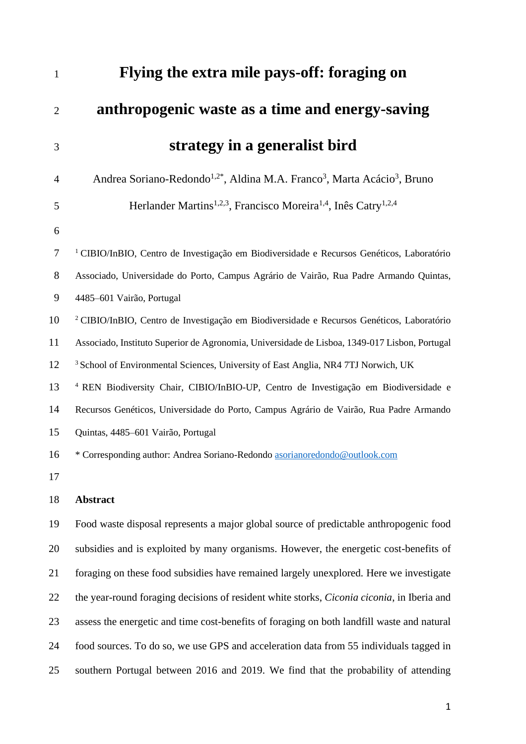| $\mathbf{1}$   | Flying the extra mile pays-off: foraging on                                                                  |
|----------------|--------------------------------------------------------------------------------------------------------------|
| $\overline{2}$ | anthropogenic waste as a time and energy-saving                                                              |
| 3              | strategy in a generalist bird                                                                                |
| 4              | Andrea Soriano-Redondo <sup>1,2*</sup> , Aldina M.A. Franco <sup>3</sup> , Marta Acácio <sup>3</sup> , Bruno |
| 5              | Herlander Martins <sup>1,2,3</sup> , Francisco Moreira <sup>1,4</sup> , Inês Catry <sup>1,2,4</sup>          |
| 6              |                                                                                                              |
| 7              | <sup>1</sup> CIBIO/InBIO, Centro de Investigação em Biodiversidade e Recursos Genéticos, Laboratório         |
| 8              | Associado, Universidade do Porto, Campus Agrário de Vairão, Rua Padre Armando Quintas,                       |
| 9              | 4485-601 Vairão, Portugal                                                                                    |
| 10             | <sup>2</sup> CIBIO/InBIO, Centro de Investigação em Biodiversidade e Recursos Genéticos, Laboratório         |
| 11             | Associado, Instituto Superior de Agronomia, Universidade de Lisboa, 1349-017 Lisbon, Portugal                |
| 12             | <sup>3</sup> School of Environmental Sciences, University of East Anglia, NR4 7TJ Norwich, UK                |
| 13             | <sup>4</sup> REN Biodiversity Chair, CIBIO/InBIO-UP, Centro de Investigação em Biodiversidade e              |
| 14             | Recursos Genéticos, Universidade do Porto, Campus Agrário de Vairão, Rua Padre Armando                       |
| 15             | Quintas, 4485-601 Vairão, Portugal                                                                           |
| 16             | * Corresponding author: Andrea Soriano-Redondo asorianoredondo@outlook.com                                   |
| 17             |                                                                                                              |
| 18             | <b>Abstract</b>                                                                                              |
| 19             | Food waste disposal represents a major global source of predictable anthropogenic food                       |
| 20             | subsidies and is exploited by many organisms. However, the energetic cost-benefits of                        |
| 21             | foraging on these food subsidies have remained largely unexplored. Here we investigate                       |
| 22             | the year-round foraging decisions of resident white storks, Ciconia ciconia, in Iberia and                   |
| 23             | assess the energetic and time cost-benefits of foraging on both landfill waste and natural                   |
| 24             | food sources. To do so, we use GPS and acceleration data from 55 individuals tagged in                       |
| 25             | southern Portugal between 2016 and 2019. We find that the probability of attending                           |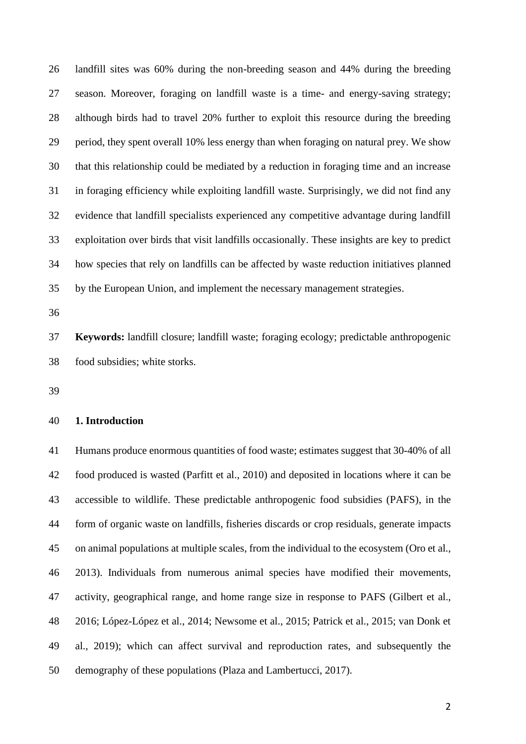landfill sites was 60% during the non-breeding season and 44% during the breeding season. Moreover, foraging on landfill waste is a time- and energy-saving strategy; although birds had to travel 20% further to exploit this resource during the breeding period, they spent overall 10% less energy than when foraging on natural prey. We show that this relationship could be mediated by a reduction in foraging time and an increase in foraging efficiency while exploiting landfill waste. Surprisingly, we did not find any evidence that landfill specialists experienced any competitive advantage during landfill exploitation over birds that visit landfills occasionally. These insights are key to predict how species that rely on landfills can be affected by waste reduction initiatives planned by the European Union, and implement the necessary management strategies.

 **Keywords:** landfill closure; landfill waste; foraging ecology; predictable anthropogenic food subsidies; white storks.

# **1. Introduction**

 Humans produce enormous quantities of food waste; estimates suggest that 30-40% of all food produced is wasted (Parfitt et al., 2010) and deposited in locations where it can be accessible to wildlife. These predictable anthropogenic food subsidies (PAFS), in the form of organic waste on landfills, fisheries discards or crop residuals, generate impacts on animal populations at multiple scales, from the individual to the ecosystem (Oro et al., 2013). Individuals from numerous animal species have modified their movements, activity, geographical range, and home range size in response to PAFS (Gilbert et al., 2016; López-López et al., 2014; Newsome et al., 2015; Patrick et al., 2015; van Donk et al., 2019); which can affect survival and reproduction rates, and subsequently the demography of these populations (Plaza and Lambertucci, 2017).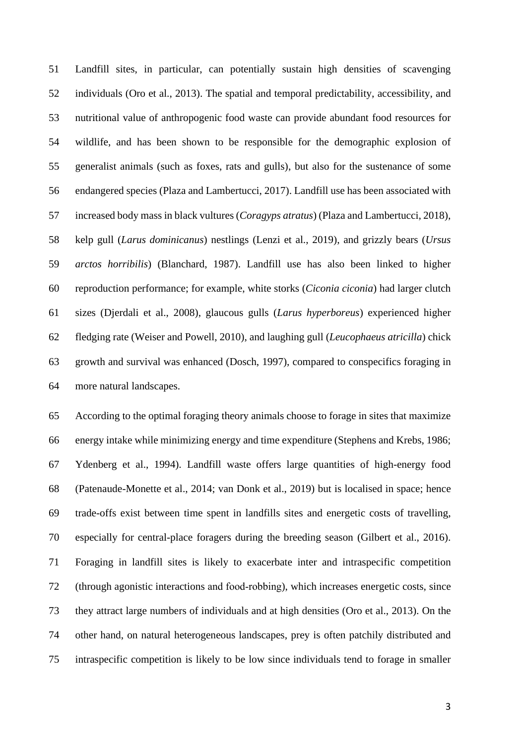Landfill sites, in particular, can potentially sustain high densities of scavenging individuals (Oro et al., 2013). The spatial and temporal predictability, accessibility, and nutritional value of anthropogenic food waste can provide abundant food resources for wildlife, and has been shown to be responsible for the demographic explosion of generalist animals (such as foxes, rats and gulls), but also for the sustenance of some endangered species (Plaza and Lambertucci, 2017). Landfill use has been associated with increased body mass in black vultures (*Coragyps atratus*) (Plaza and Lambertucci, 2018), kelp gull (*Larus dominicanus*) nestlings (Lenzi et al., 2019), and grizzly bears (*Ursus arctos horribilis*) (Blanchard, 1987). Landfill use has also been linked to higher reproduction performance; for example, white storks (*Ciconia ciconia*) had larger clutch sizes (Djerdali et al., 2008), glaucous gulls (*Larus hyperboreus*) experienced higher fledging rate (Weiser and Powell, 2010), and laughing gull (*Leucophaeus atricilla*) chick growth and survival was enhanced (Dosch, 1997), compared to conspecifics foraging in more natural landscapes.

 According to the optimal foraging theory animals choose to forage in sites that maximize energy intake while minimizing energy and time expenditure (Stephens and Krebs, 1986; Ydenberg et al., 1994). Landfill waste offers large quantities of high-energy food (Patenaude-Monette et al., 2014; van Donk et al., 2019) but is localised in space; hence trade-offs exist between time spent in landfills sites and energetic costs of travelling, especially for central-place foragers during the breeding season (Gilbert et al., 2016). Foraging in landfill sites is likely to exacerbate inter and intraspecific competition (through agonistic interactions and food‐robbing), which increases energetic costs, since they attract large numbers of individuals and at high densities (Oro et al., 2013). On the other hand, on natural heterogeneous landscapes, prey is often patchily distributed and intraspecific competition is likely to be low since individuals tend to forage in smaller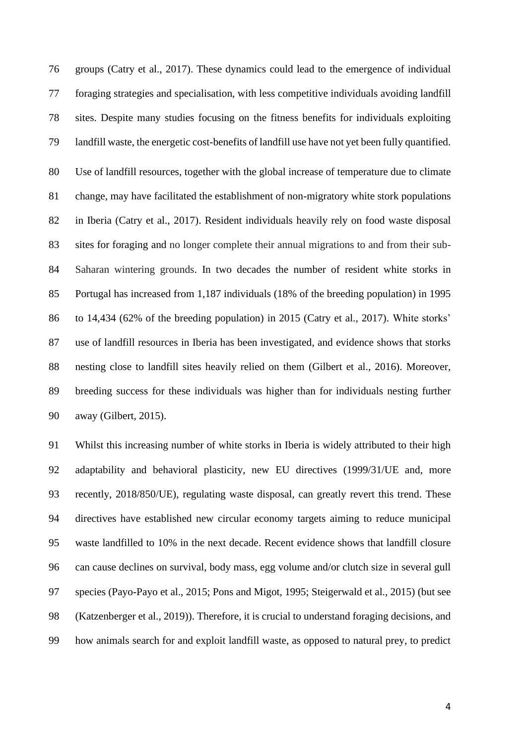groups (Catry et al., 2017). These dynamics could lead to the emergence of individual foraging strategies and specialisation, with less competitive individuals avoiding landfill sites. Despite many studies focusing on the fitness benefits for individuals exploiting landfill waste, the energetic cost-benefits of landfill use have not yet been fully quantified. Use of landfill resources, together with the global increase of temperature due to climate change, may have facilitated the establishment of non-migratory white stork populations in Iberia (Catry et al., 2017). Resident individuals heavily rely on food waste disposal sites for foraging and no longer complete their annual migrations to and from their sub- Saharan wintering grounds. In two decades the number of resident white storks in Portugal has increased from 1,187 individuals (18% of the breeding population) in 1995 to 14,434 (62% of the breeding population) in 2015 (Catry et al., 2017). White storks' use of landfill resources in Iberia has been investigated, and evidence shows that storks nesting close to landfill sites heavily relied on them (Gilbert et al., 2016). Moreover, breeding success for these individuals was higher than for individuals nesting further away (Gilbert, 2015).

 Whilst this increasing number of white storks in Iberia is widely attributed to their high adaptability and behavioral plasticity, new EU directives (1999/31/UE and, more recently, 2018/850/UE), regulating waste disposal, can greatly revert this trend. These directives have established new circular economy targets aiming to reduce municipal waste landfilled to 10% in the next decade. Recent evidence shows that landfill closure can cause declines on survival, body mass, egg volume and/or clutch size in several gull species (Payo-Payo et al., 2015; Pons and Migot, 1995; Steigerwald et al., 2015) (but see (Katzenberger et al., 2019)). Therefore, it is crucial to understand foraging decisions, and how animals search for and exploit landfill waste, as opposed to natural prey, to predict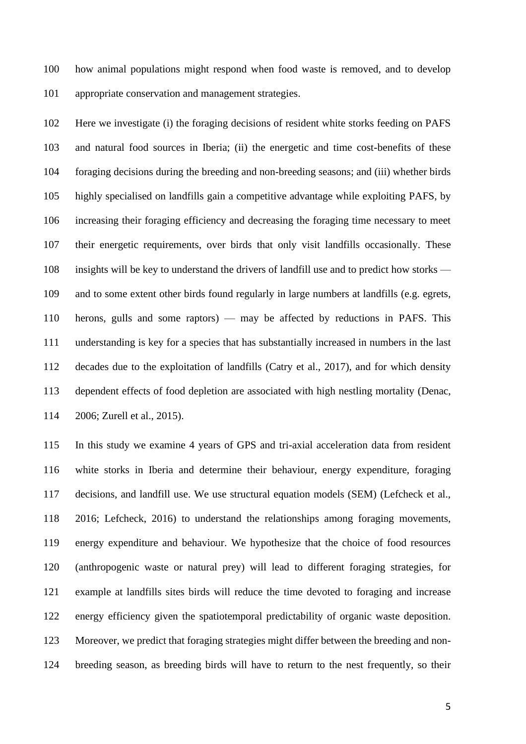how animal populations might respond when food waste is removed, and to develop appropriate conservation and management strategies.

 Here we investigate (i) the foraging decisions of resident white storks feeding on PAFS and natural food sources in Iberia; (ii) the energetic and time cost-benefits of these foraging decisions during the breeding and non-breeding seasons; and (iii) whether birds highly specialised on landfills gain a competitive advantage while exploiting PAFS, by increasing their foraging efficiency and decreasing the foraging time necessary to meet their energetic requirements, over birds that only visit landfills occasionally. These insights will be key to understand the drivers of landfill use and to predict how storks — and to some extent other birds found regularly in large numbers at landfills (e.g. egrets, herons, gulls and some raptors) — may be affected by reductions in PAFS. This understanding is key for a species that has substantially increased in numbers in the last decades due to the exploitation of landfills (Catry et al., 2017), and for which density dependent effects of food depletion are associated with high nestling mortality (Denac, 2006; Zurell et al., 2015).

 In this study we examine 4 years of GPS and tri-axial acceleration data from resident white storks in Iberia and determine their behaviour, energy expenditure, foraging decisions, and landfill use. We use structural equation models (SEM) (Lefcheck et al., 2016; Lefcheck, 2016) to understand the relationships among foraging movements, energy expenditure and behaviour. We hypothesize that the choice of food resources (anthropogenic waste or natural prey) will lead to different foraging strategies, for example at landfills sites birds will reduce the time devoted to foraging and increase energy efficiency given the spatiotemporal predictability of organic waste deposition. Moreover, we predict that foraging strategies might differ between the breeding and non-breeding season, as breeding birds will have to return to the nest frequently, so their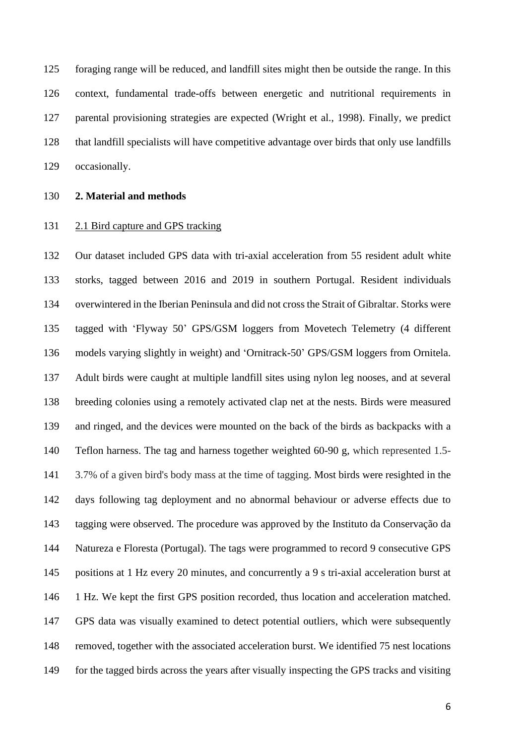foraging range will be reduced, and landfill sites might then be outside the range. In this context, fundamental trade-offs between energetic and nutritional requirements in parental provisioning strategies are expected (Wright et al., 1998). Finally, we predict that landfill specialists will have competitive advantage over birds that only use landfills occasionally.

#### **2. Material and methods**

#### 2.1 Bird capture and GPS tracking

 Our dataset included GPS data with tri-axial acceleration from 55 resident adult white storks, tagged between 2016 and 2019 in southern Portugal. Resident individuals overwintered in the Iberian Peninsula and did not cross the Strait of Gibraltar. Storks were tagged with 'Flyway 50' GPS/GSM loggers from Movetech Telemetry (4 different models varying slightly in weight) and 'Ornitrack-50' GPS/GSM loggers from Ornitela. Adult birds were caught at multiple landfill sites using nylon leg nooses, and at several breeding colonies using a remotely activated clap net at the nests. Birds were measured and ringed, and the devices were mounted on the back of the birds as backpacks with a Teflon harness. The tag and harness together weighted 60-90 g, which represented 1.5- 3.7% of a given bird's body mass at the time of tagging. Most birds were resighted in the days following tag deployment and no abnormal behaviour or adverse effects due to tagging were observed. The procedure was approved by the Instituto da Conservação da Natureza e Floresta (Portugal). The tags were programmed to record 9 consecutive GPS positions at 1 Hz every 20 minutes, and concurrently a 9 s tri-axial acceleration burst at 1 Hz. We kept the first GPS position recorded, thus location and acceleration matched. GPS data was visually examined to detect potential outliers, which were subsequently removed, together with the associated acceleration burst. We identified 75 nest locations 149 for the tagged birds across the years after visually inspecting the GPS tracks and visiting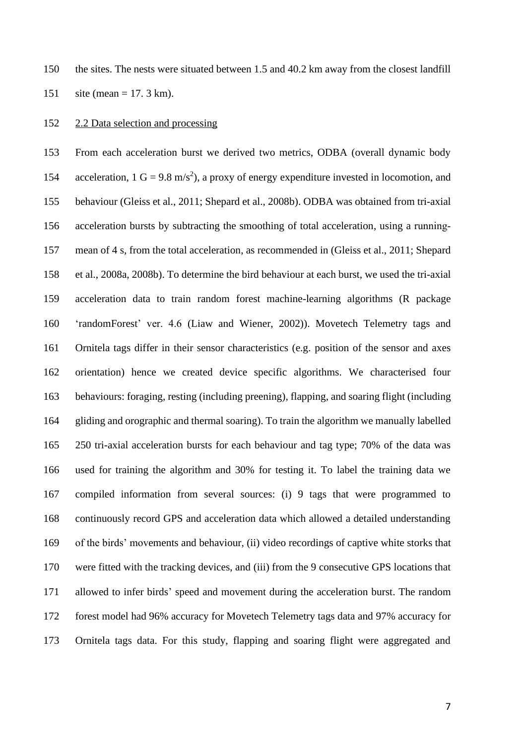the sites. The nests were situated between 1.5 and 40.2 km away from the closest landfill site (mean = 17. 3 km).

## 2.2 Data selection and processing

 From each acceleration burst we derived two metrics, ODBA (overall dynamic body 154 acceleration,  $1 \text{ G} = 9.8 \text{ m/s}^2$ , a proxy of energy expenditure invested in locomotion, and behaviour (Gleiss et al., 2011; Shepard et al., 2008b). ODBA was obtained from tri-axial 156 acceleration bursts by subtracting the smoothing of total acceleration, using a running- mean of 4 s, from the total acceleration, as recommended in (Gleiss et al., 2011; Shepard et al., 2008a, 2008b). To determine the bird behaviour at each burst, we used the tri-axial acceleration data to train random forest machine-learning algorithms (R package 'randomForest' ver. 4.6 (Liaw and Wiener, 2002)). Movetech Telemetry tags and Ornitela tags differ in their sensor characteristics (e.g. position of the sensor and axes orientation) hence we created device specific algorithms. We characterised four behaviours: foraging, resting (including preening), flapping, and soaring flight (including gliding and orographic and thermal soaring). To train the algorithm we manually labelled 250 tri-axial acceleration bursts for each behaviour and tag type; 70% of the data was used for training the algorithm and 30% for testing it. To label the training data we compiled information from several sources: (i) 9 tags that were programmed to continuously record GPS and acceleration data which allowed a detailed understanding of the birds' movements and behaviour, (ii) video recordings of captive white storks that were fitted with the tracking devices, and (iii) from the 9 consecutive GPS locations that allowed to infer birds' speed and movement during the acceleration burst. The random forest model had 96% accuracy for Movetech Telemetry tags data and 97% accuracy for Ornitela tags data. For this study, flapping and soaring flight were aggregated and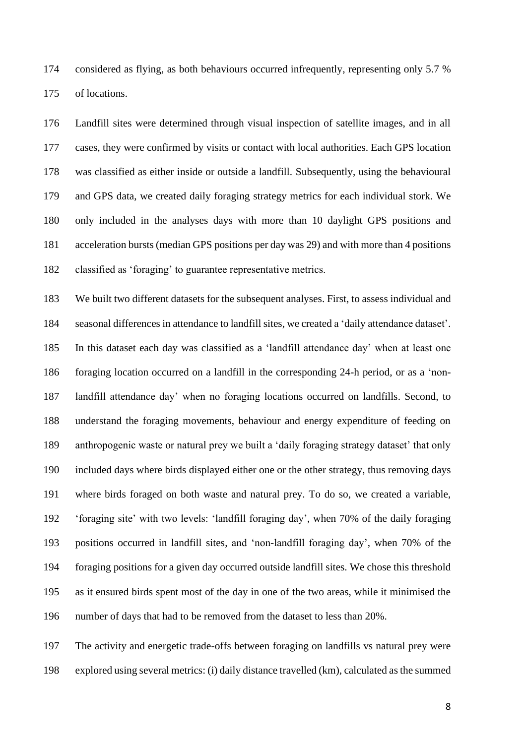considered as flying, as both behaviours occurred infrequently, representing only 5.7 % of locations.

 Landfill sites were determined through visual inspection of satellite images, and in all cases, they were confirmed by visits or contact with local authorities. Each GPS location was classified as either inside or outside a landfill. Subsequently, using the behavioural and GPS data, we created daily foraging strategy metrics for each individual stork. We only included in the analyses days with more than 10 daylight GPS positions and acceleration bursts (median GPS positions per day was 29) and with more than 4 positions classified as 'foraging' to guarantee representative metrics.

 We built two different datasets for the subsequent analyses. First, to assess individual and seasonal differences in attendance to landfill sites, we created a 'daily attendance dataset'. In this dataset each day was classified as a 'landfill attendance day' when at least one foraging location occurred on a landfill in the corresponding 24-h period, or as a 'non- landfill attendance day' when no foraging locations occurred on landfills. Second, to understand the foraging movements, behaviour and energy expenditure of feeding on anthropogenic waste or natural prey we built a 'daily foraging strategy dataset' that only included days where birds displayed either one or the other strategy, thus removing days where birds foraged on both waste and natural prey. To do so, we created a variable, 'foraging site' with two levels: 'landfill foraging day', when 70% of the daily foraging positions occurred in landfill sites, and 'non-landfill foraging day', when 70% of the foraging positions for a given day occurred outside landfill sites. We chose this threshold as it ensured birds spent most of the day in one of the two areas, while it minimised the number of days that had to be removed from the dataset to less than 20%.

 The activity and energetic trade-offs between foraging on landfills vs natural prey were explored using several metrics: (i) daily distance travelled (km), calculated as the summed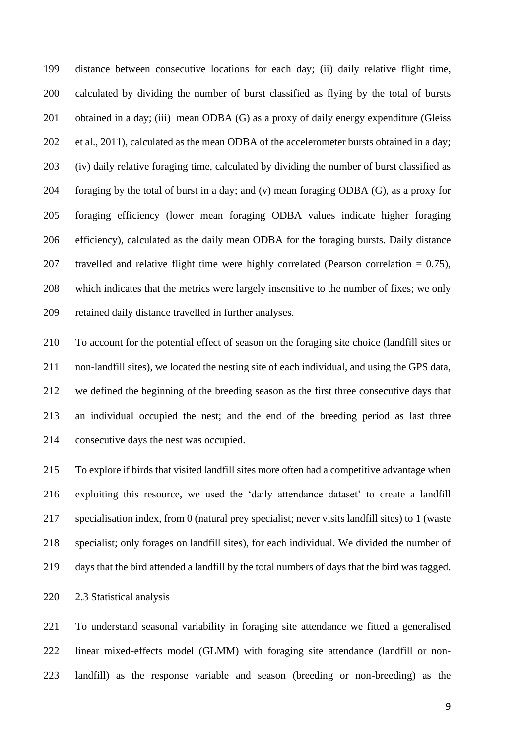distance between consecutive locations for each day; (ii) daily relative flight time, calculated by dividing the number of burst classified as flying by the total of bursts obtained in a day; (iii) mean ODBA (G) as a proxy of daily energy expenditure (Gleiss et al., 2011), calculated as the mean ODBA of the accelerometer bursts obtained in a day; (iv) daily relative foraging time, calculated by dividing the number of burst classified as 204 foraging by the total of burst in a day; and (v) mean foraging ODBA  $(G)$ , as a proxy for foraging efficiency (lower mean foraging ODBA values indicate higher foraging efficiency), calculated as the daily mean ODBA for the foraging bursts. Daily distance 207 travelled and relative flight time were highly correlated (Pearson correlation  $= 0.75$ ), which indicates that the metrics were largely insensitive to the number of fixes; we only retained daily distance travelled in further analyses.

 To account for the potential effect of season on the foraging site choice (landfill sites or non-landfill sites), we located the nesting site of each individual, and using the GPS data, we defined the beginning of the breeding season as the first three consecutive days that an individual occupied the nest; and the end of the breeding period as last three consecutive days the nest was occupied.

 To explore if birds that visited landfill sites more often had a competitive advantage when exploiting this resource, we used the 'daily attendance dataset' to create a landfill specialisation index, from 0 (natural prey specialist; never visits landfill sites) to 1 (waste specialist; only forages on landfill sites), for each individual. We divided the number of days that the bird attended a landfill by the total numbers of days that the bird was tagged.

# 2.3 Statistical analysis

 To understand seasonal variability in foraging site attendance we fitted a generalised linear mixed-effects model (GLMM) with foraging site attendance (landfill or non-landfill) as the response variable and season (breeding or non-breeding) as the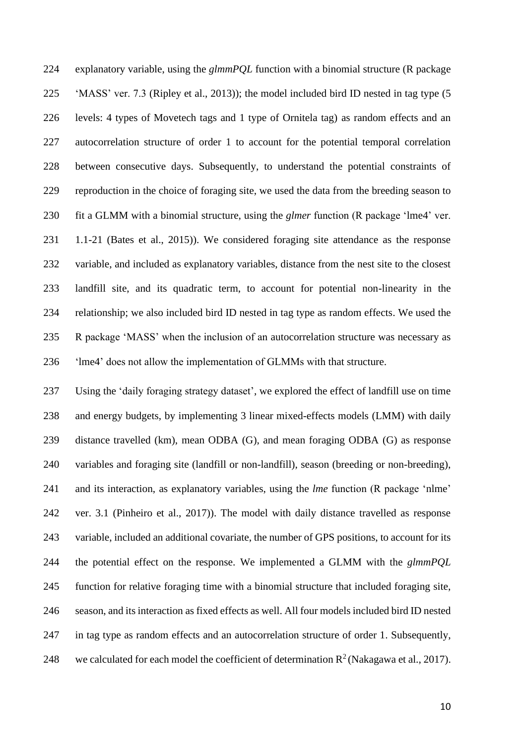explanatory variable, using the *glmmPQL* function with a binomial structure (R package 'MASS' ver. 7.3 (Ripley et al., 2013)); the model included bird ID nested in tag type (5 levels: 4 types of Movetech tags and 1 type of Ornitela tag) as random effects and an autocorrelation structure of order 1 to account for the potential temporal correlation between consecutive days. Subsequently, to understand the potential constraints of reproduction in the choice of foraging site, we used the data from the breeding season to fit a GLMM with a binomial structure, using the *glmer* function (R package 'lme4' ver. 1.1-21 (Bates et al., 2015)). We considered foraging site attendance as the response variable, and included as explanatory variables, distance from the nest site to the closest landfill site, and its quadratic term, to account for potential non-linearity in the relationship; we also included bird ID nested in tag type as random effects. We used the R package 'MASS' when the inclusion of an autocorrelation structure was necessary as 'lme4' does not allow the implementation of GLMMs with that structure.

 Using the 'daily foraging strategy dataset', we explored the effect of landfill use on time and energy budgets, by implementing 3 linear mixed-effects models (LMM) with daily distance travelled (km), mean ODBA (G), and mean foraging ODBA (G) as response variables and foraging site (landfill or non-landfill), season (breeding or non-breeding), and its interaction, as explanatory variables, using the *lme* function (R package 'nlme' ver. 3.1 (Pinheiro et al., 2017)). The model with daily distance travelled as response variable, included an additional covariate, the number of GPS positions, to account for its the potential effect on the response. We implemented a GLMM with the *glmmPQL* function for relative foraging time with a binomial structure that included foraging site, season, and its interaction as fixed effects as well. All four models included bird ID nested in tag type as random effects and an autocorrelation structure of order 1. Subsequently, 248 we calculated for each model the coefficient of determination  $R^2$  (Nakagawa et al., 2017).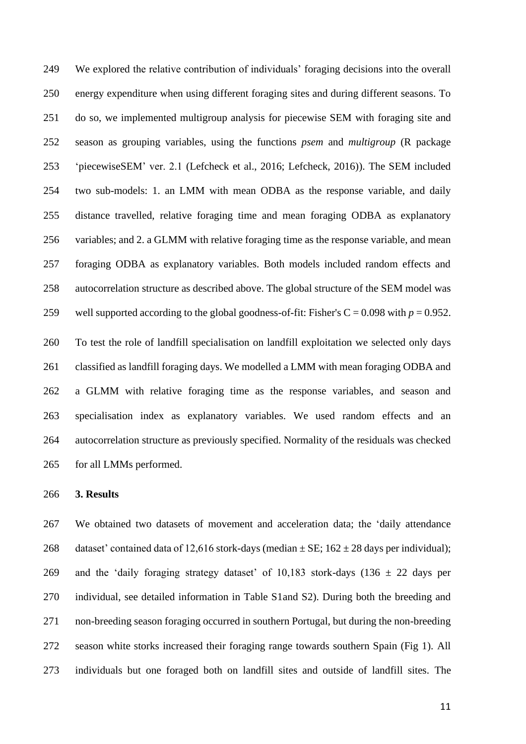We explored the relative contribution of individuals' foraging decisions into the overall energy expenditure when using different foraging sites and during different seasons. To do so, we implemented multigroup analysis for piecewise SEM with foraging site and season as grouping variables, using the functions *psem* and *multigroup* (R package 'piecewiseSEM' ver. 2.1 (Lefcheck et al., 2016; Lefcheck, 2016)). The SEM included two sub-models: 1. an LMM with mean ODBA as the response variable, and daily distance travelled, relative foraging time and mean foraging ODBA as explanatory variables; and 2. a GLMM with relative foraging time as the response variable, and mean foraging ODBA as explanatory variables. Both models included random effects and autocorrelation structure as described above. The global structure of the SEM model was 259 well supported according to the global goodness-of-fit: Fisher's  $C = 0.098$  with  $p = 0.952$ . To test the role of landfill specialisation on landfill exploitation we selected only days classified as landfill foraging days. We modelled a LMM with mean foraging ODBA and a GLMM with relative foraging time as the response variables, and season and specialisation index as explanatory variables. We used random effects and an autocorrelation structure as previously specified. Normality of the residuals was checked for all LMMs performed.

#### **3. Results**

 We obtained two datasets of movement and acceleration data; the 'daily attendance 268 dataset' contained data of 12,616 stork-days (median  $\pm$  SE; 162  $\pm$  28 days per individual); 269 and the 'daily foraging strategy dataset' of 10,183 stork-days (136  $\pm$  22 days per individual, see detailed information in Table S1and S2). During both the breeding and non-breeding season foraging occurred in southern Portugal, but during the non-breeding season white storks increased their foraging range towards southern Spain (Fig 1). All individuals but one foraged both on landfill sites and outside of landfill sites. The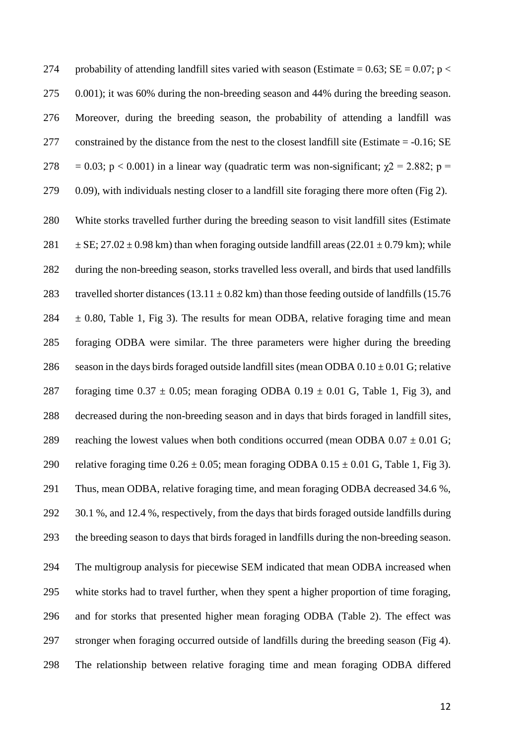274 probability of attending landfill sites varied with season (Estimate =  $0.63$ ; SE =  $0.07$ ; p < 0.001); it was 60% during the non-breeding season and 44% during the breeding season. Moreover, during the breeding season, the probability of attending a landfill was constrained by the distance from the nest to the closest landfill site (Estimate = -0.16; SE 278 = 0.03; p < 0.001) in a linear way (quadratic term was non-significant;  $\chi$ 2 = 2.882; p = 0.09), with individuals nesting closer to a landfill site foraging there more often (Fig 2). White storks travelled further during the breeding season to visit landfill sites (Estimate  $\pm$  SE; 27.02  $\pm$  0.98 km) than when foraging outside landfill areas (22.01  $\pm$  0.79 km); while during the non-breeding season, storks travelled less overall, and birds that used landfills 283 travelled shorter distances (13.11  $\pm$  0.82 km) than those feeding outside of landfills (15.76  $284 \pm 0.80$ , Table 1, Fig 3). The results for mean ODBA, relative foraging time and mean foraging ODBA were similar. The three parameters were higher during the breeding 286 season in the days birds foraged outside landfill sites (mean ODBA  $0.10 \pm 0.01$  G; relative 287 foraging time  $0.37 \pm 0.05$ ; mean foraging ODBA  $0.19 \pm 0.01$  G, Table 1, Fig 3), and decreased during the non-breeding season and in days that birds foraged in landfill sites, 289 reaching the lowest values when both conditions occurred (mean ODBA  $0.07 \pm 0.01$  G; 290 relative foraging time  $0.26 \pm 0.05$ ; mean foraging ODBA  $0.15 \pm 0.01$  G, Table 1, Fig 3). Thus, mean ODBA, relative foraging time, and mean foraging ODBA decreased 34.6 %, 30.1 %, and 12.4 %, respectively, from the days that birds foraged outside landfills during the breeding season to days that birds foraged in landfills during the non-breeding season. The multigroup analysis for piecewise SEM indicated that mean ODBA increased when white storks had to travel further, when they spent a higher proportion of time foraging, and for storks that presented higher mean foraging ODBA (Table 2). The effect was stronger when foraging occurred outside of landfills during the breeding season (Fig 4). The relationship between relative foraging time and mean foraging ODBA differed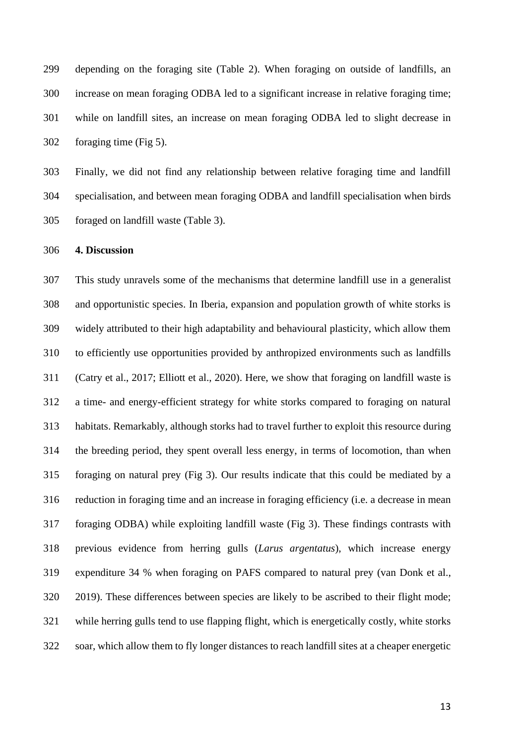depending on the foraging site (Table 2). When foraging on outside of landfills, an increase on mean foraging ODBA led to a significant increase in relative foraging time; while on landfill sites, an increase on mean foraging ODBA led to slight decrease in foraging time (Fig 5).

 Finally, we did not find any relationship between relative foraging time and landfill specialisation, and between mean foraging ODBA and landfill specialisation when birds foraged on landfill waste (Table 3).

# **4. Discussion**

 This study unravels some of the mechanisms that determine landfill use in a generalist and opportunistic species. In Iberia, expansion and population growth of white storks is widely attributed to their high adaptability and behavioural plasticity, which allow them to efficiently use opportunities provided by anthropized environments such as landfills (Catry et al., 2017; Elliott et al., 2020). Here, we show that foraging on landfill waste is a time- and energy-efficient strategy for white storks compared to foraging on natural habitats. Remarkably, although storks had to travel further to exploit this resource during the breeding period, they spent overall less energy, in terms of locomotion, than when foraging on natural prey (Fig 3). Our results indicate that this could be mediated by a reduction in foraging time and an increase in foraging efficiency (i.e. a decrease in mean foraging ODBA) while exploiting landfill waste (Fig 3). These findings contrasts with previous evidence from herring gulls (*Larus argentatus*), which increase energy expenditure 34 % when foraging on PAFS compared to natural prey (van Donk et al., 2019). These differences between species are likely to be ascribed to their flight mode; while herring gulls tend to use flapping flight, which is energetically costly, white storks soar, which allow them to fly longer distances to reach landfill sites at a cheaper energetic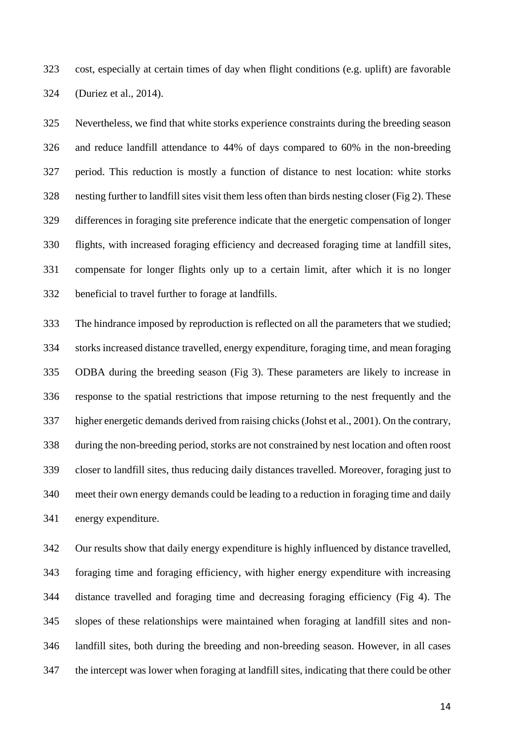cost, especially at certain times of day when flight conditions (e.g. uplift) are favorable (Duriez et al., 2014).

 Nevertheless, we find that white storks experience constraints during the breeding season and reduce landfill attendance to 44% of days compared to 60% in the non-breeding period. This reduction is mostly a function of distance to nest location: white storks nesting further to landfill sites visit them less often than birds nesting closer (Fig 2). These differences in foraging site preference indicate that the energetic compensation of longer flights, with increased foraging efficiency and decreased foraging time at landfill sites, compensate for longer flights only up to a certain limit, after which it is no longer beneficial to travel further to forage at landfills.

 The hindrance imposed by reproduction is reflected on all the parameters that we studied; storks increased distance travelled, energy expenditure, foraging time, and mean foraging ODBA during the breeding season (Fig 3). These parameters are likely to increase in response to the spatial restrictions that impose returning to the nest frequently and the higher energetic demands derived from raising chicks (Johst et al., 2001). On the contrary, during the non-breeding period, storks are not constrained by nest location and often roost closer to landfill sites, thus reducing daily distances travelled. Moreover, foraging just to meet their own energy demands could be leading to a reduction in foraging time and daily energy expenditure.

 Our results show that daily energy expenditure is highly influenced by distance travelled, foraging time and foraging efficiency, with higher energy expenditure with increasing distance travelled and foraging time and decreasing foraging efficiency (Fig 4). The slopes of these relationships were maintained when foraging at landfill sites and non- landfill sites, both during the breeding and non-breeding season. However, in all cases the intercept was lower when foraging at landfill sites, indicating that there could be other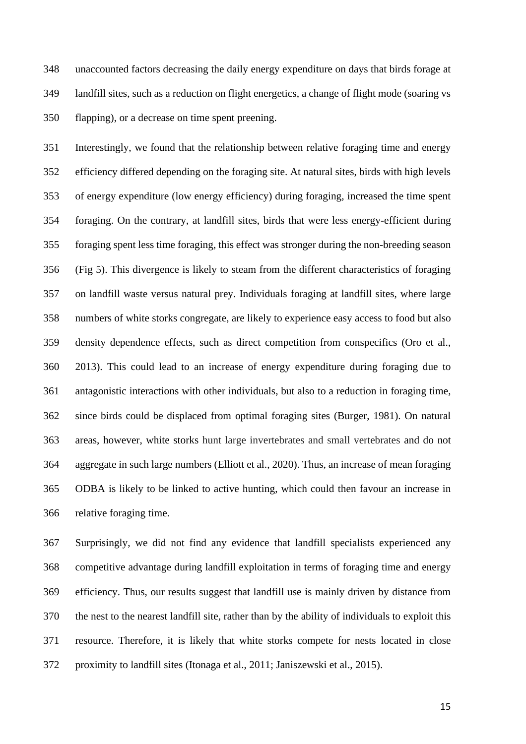unaccounted factors decreasing the daily energy expenditure on days that birds forage at landfill sites, such as a reduction on flight energetics, a change of flight mode (soaring vs flapping), or a decrease on time spent preening.

 Interestingly, we found that the relationship between relative foraging time and energy efficiency differed depending on the foraging site. At natural sites, birds with high levels of energy expenditure (low energy efficiency) during foraging, increased the time spent foraging. On the contrary, at landfill sites, birds that were less energy-efficient during foraging spent less time foraging, this effect was stronger during the non-breeding season (Fig 5). This divergence is likely to steam from the different characteristics of foraging on landfill waste versus natural prey. Individuals foraging at landfill sites, where large numbers of white storks congregate, are likely to experience easy access to food but also density dependence effects, such as direct competition from conspecifics (Oro et al., 2013). This could lead to an increase of energy expenditure during foraging due to antagonistic interactions with other individuals, but also to a reduction in foraging time, since birds could be displaced from optimal foraging sites (Burger, 1981). On natural areas, however, white storks hunt large invertebrates and small vertebrates and do not aggregate in such large numbers (Elliott et al., 2020). Thus, an increase of mean foraging ODBA is likely to be linked to active hunting, which could then favour an increase in relative foraging time.

 Surprisingly, we did not find any evidence that landfill specialists experienced any competitive advantage during landfill exploitation in terms of foraging time and energy efficiency. Thus, our results suggest that landfill use is mainly driven by distance from the nest to the nearest landfill site, rather than by the ability of individuals to exploit this resource. Therefore, it is likely that white storks compete for nests located in close proximity to landfill sites (Itonaga et al., 2011; Janiszewski et al., 2015).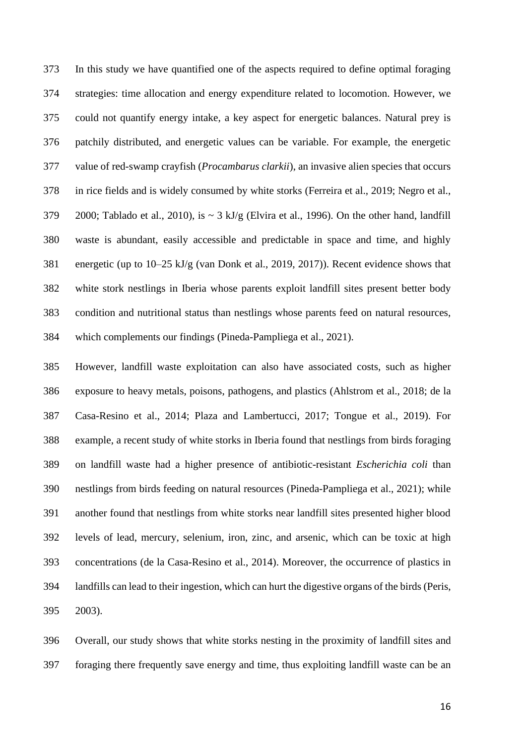In this study we have quantified one of the aspects required to define optimal foraging strategies: time allocation and energy expenditure related to locomotion. However, we could not quantify energy intake, a key aspect for energetic balances. Natural prey is patchily distributed, and energetic values can be variable. For example, the energetic value of red-swamp crayfish (*Procambarus clarkii*), an invasive alien species that occurs in rice fields and is widely consumed by white storks (Ferreira et al., 2019; Negro et al., 379 2000; Tablado et al., 2010), is  $\sim$  3 kJ/g (Elvira et al., 1996). On the other hand, landfill waste is abundant, easily accessible and predictable in space and time, and highly energetic (up to 10–25 kJ/g (van Donk et al., 2019, 2017)). Recent evidence shows that white stork nestlings in Iberia whose parents exploit landfill sites present better body condition and nutritional status than nestlings whose parents feed on natural resources, which complements our findings (Pineda-Pampliega et al., 2021).

 However, landfill waste exploitation can also have associated costs, such as higher exposure to heavy metals, poisons, pathogens, and plastics (Ahlstrom et al., 2018; de la Casa-Resino et al., 2014; Plaza and Lambertucci, 2017; Tongue et al., 2019). For example, a recent study of white storks in Iberia found that nestlings from birds foraging on landfill waste had a higher presence of antibiotic-resistant *Escherichia coli* than nestlings from birds feeding on natural resources (Pineda-Pampliega et al., 2021); while another found that nestlings from white storks near landfill sites presented higher blood levels of lead, mercury, selenium, iron, zinc, and arsenic, which can be toxic at high concentrations (de la Casa-Resino et al., 2014). Moreover, the occurrence of plastics in landfills can lead to their ingestion, which can hurt the digestive organs of the birds (Peris, 2003).

 Overall, our study shows that white storks nesting in the proximity of landfill sites and foraging there frequently save energy and time, thus exploiting landfill waste can be an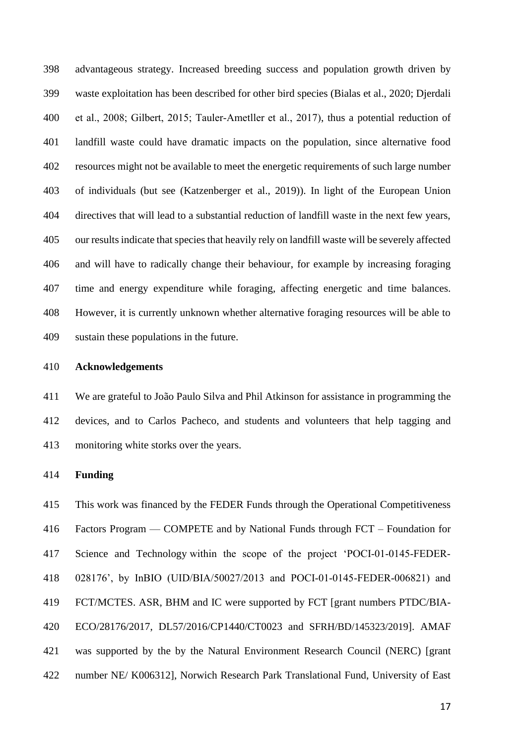advantageous strategy. Increased breeding success and population growth driven by waste exploitation has been described for other bird species (Bialas et al., 2020; Djerdali 400 et al., 2008; Gilbert, 2015; Tauler-Ametller et al., 2017), thus a potential reduction of landfill waste could have dramatic impacts on the population, since alternative food resources might not be available to meet the energetic requirements of such large number of individuals (but see (Katzenberger et al., 2019)). In light of the European Union directives that will lead to a substantial reduction of landfill waste in the next few years, our results indicate that species that heavily rely on landfill waste will be severely affected and will have to radically change their behaviour, for example by increasing foraging time and energy expenditure while foraging, affecting energetic and time balances. However, it is currently unknown whether alternative foraging resources will be able to sustain these populations in the future.

#### **Acknowledgements**

 We are grateful to João Paulo Silva and Phil Atkinson for assistance in programming the devices, and to Carlos Pacheco, and students and volunteers that help tagging and monitoring white storks over the years.

### **Funding**

 This work was financed by the FEDER Funds through the Operational Competitiveness Factors Program — COMPETE and by National Funds through FCT – Foundation for Science and Technology within the scope of the project 'POCI‐01‐0145‐FEDER‐ 028176', by InBIO (UID/BIA/50027/2013 and POCI‐01‐0145‐FEDER‐006821) and FCT/MCTES. ASR, BHM and IC were supported by FCT [grant numbers PTDC/BIA- ECO/28176/2017, DL57/2016/CP1440/CT0023 and SFRH/BD/145323/2019]. AMAF was supported by the by the Natural Environment Research Council (NERC) [grant number NE/ K006312], Norwich Research Park Translational Fund, University of East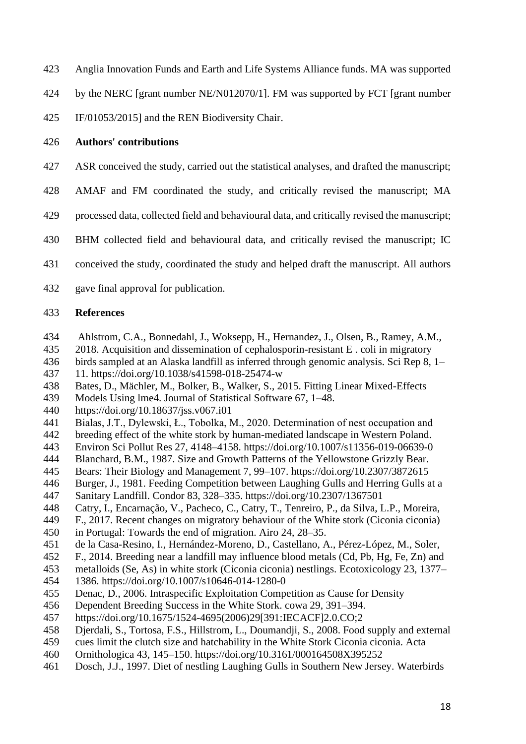- Anglia Innovation Funds and Earth and Life Systems Alliance funds. MA was supported
- by the NERC [grant number NE/N012070/1]. FM was supported by FCT [grant number
- IF/01053/2015] and the REN Biodiversity Chair.

# **Authors' contributions**

- ASR conceived the study, carried out the statistical analyses, and drafted the manuscript;
- AMAF and FM coordinated the study, and critically revised the manuscript; MA
- processed data, collected field and behavioural data, and critically revised the manuscript;
- BHM collected field and behavioural data, and critically revised the manuscript; IC
- conceived the study, coordinated the study and helped draft the manuscript. All authors
- gave final approval for publication.

#### **References**

- Ahlstrom, C.A., Bonnedahl, J., Woksepp, H., Hernandez, J., Olsen, B., Ramey, A.M.,
- 2018. Acquisition and dissemination of cephalosporin-resistant E . coli in migratory
- birds sampled at an Alaska landfill as inferred through genomic analysis. Sci Rep 8, 1–
- 11. https://doi.org/10.1038/s41598-018-25474-w
- Bates, D., Mächler, M., Bolker, B., Walker, S., 2015. Fitting Linear Mixed-Effects
- Models Using lme4. Journal of Statistical Software 67, 1–48.
- https://doi.org/10.18637/jss.v067.i01
- Bialas, J.T., Dylewski, Ł., Tobolka, M., 2020. Determination of nest occupation and
- breeding effect of the white stork by human-mediated landscape in Western Poland.
- Environ Sci Pollut Res 27, 4148–4158. https://doi.org/10.1007/s11356-019-06639-0
- Blanchard, B.M., 1987. Size and Growth Patterns of the Yellowstone Grizzly Bear.
- Bears: Their Biology and Management 7, 99–107. https://doi.org/10.2307/3872615
- Burger, J., 1981. Feeding Competition between Laughing Gulls and Herring Gulls at a
- Sanitary Landfill. Condor 83, 328–335. https://doi.org/10.2307/1367501
- Catry, I., Encarnação, V., Pacheco, C., Catry, T., Tenreiro, P., da Silva, L.P., Moreira,
- F., 2017. Recent changes on migratory behaviour of the White stork (Ciconia ciconia)
- in Portugal: Towards the end of migration. Airo 24, 28–35.
- de la Casa-Resino, I., Hernández-Moreno, D., Castellano, A., Pérez-López, M., Soler,
- F., 2014. Breeding near a landfill may influence blood metals (Cd, Pb, Hg, Fe, Zn) and
- metalloids (Se, As) in white stork (Ciconia ciconia) nestlings. Ecotoxicology 23, 1377–
- 1386. https://doi.org/10.1007/s10646-014-1280-0
- Denac, D., 2006. Intraspecific Exploitation Competition as Cause for Density
- Dependent Breeding Success in the White Stork. cowa 29, 391–394.
- https://doi.org/10.1675/1524-4695(2006)29[391:IECACF]2.0.CO;2
- Djerdali, S., Tortosa, F.S., Hillstrom, L., Doumandji, S., 2008. Food supply and external
- cues limit the clutch size and hatchability in the White Stork Ciconia ciconia. Acta
- Ornithologica 43, 145–150. https://doi.org/10.3161/000164508X395252
- Dosch, J.J., 1997. Diet of nestling Laughing Gulls in Southern New Jersey. Waterbirds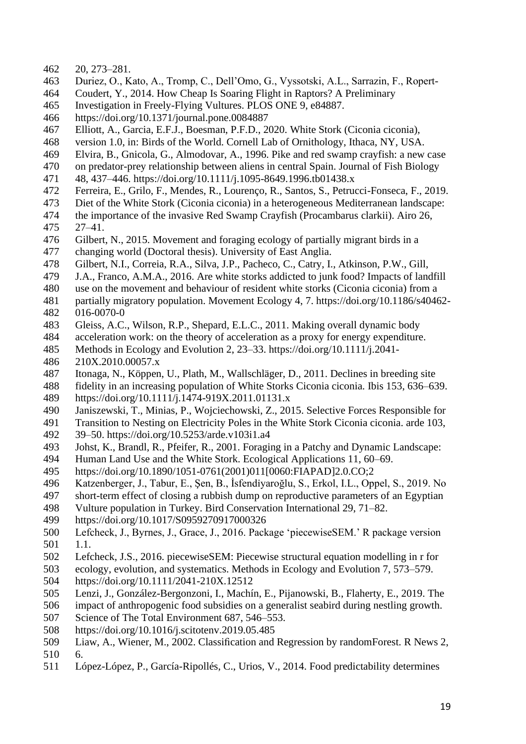- 20, 273–281.
- Duriez, O., Kato, A., Tromp, C., Dell'Omo, G., Vyssotski, A.L., Sarrazin, F., Ropert-
- Coudert, Y., 2014. How Cheap Is Soaring Flight in Raptors? A Preliminary
- Investigation in Freely-Flying Vultures. PLOS ONE 9, e84887.
- https://doi.org/10.1371/journal.pone.0084887
- Elliott, A., Garcia, E.F.J., Boesman, P.F.D., 2020. White Stork (Ciconia ciconia),
- version 1.0, in: Birds of the World. Cornell Lab of Ornithology, Ithaca, NY, USA.
- Elvira, B., Gnicola, G., Almodovar, A., 1996. Pike and red swamp crayfish: a new case
- on predator-prey relationship between aliens in central Spain. Journal of Fish Biology
- 471 48, 437–446. https://doi.org/10.1111/j.1095-8649.1996.tb01438.x<br>472 Ferreira. E., Grilo. F., Mendes, R., Lourenco, R., Santos, S., Petruc
- Ferreira, E., Grilo, F., Mendes, R., Lourenço, R., Santos, S., Petrucci-Fonseca, F., 2019.
- Diet of the White Stork (Ciconia ciconia) in a heterogeneous Mediterranean landscape:
- the importance of the invasive Red Swamp Crayfish (Procambarus clarkii). Airo 26, 27-41.
- 476 Gilbert, N., 2015. Movement and foraging ecology of partially migrant birds in a<br>477 changing world (Doctoral thesis). University of East Anglia.
- changing world (Doctoral thesis). University of East Anglia.
- Gilbert, N.I., Correia, R.A., Silva, J.P., Pacheco, C., Catry, I., Atkinson, P.W., Gill,
- J.A., Franco, A.M.A., 2016. Are white storks addicted to junk food? Impacts of landfill
- use on the movement and behaviour of resident white storks (Ciconia ciconia) from a
- partially migratory population. Movement Ecology 4, 7. https://doi.org/10.1186/s40462- 016-0070-0
- Gleiss, A.C., Wilson, R.P., Shepard, E.L.C., 2011. Making overall dynamic body
- acceleration work: on the theory of acceleration as a proxy for energy expenditure.
- Methods in Ecology and Evolution 2, 23–33. https://doi.org/10.1111/j.2041-
- 210X.2010.00057.x
- Itonaga, N., Köppen, U., Plath, M., Wallschläger, D., 2011. Declines in breeding site
- fidelity in an increasing population of White Storks Ciconia ciconia. Ibis 153, 636–639.
- https://doi.org/10.1111/j.1474-919X.2011.01131.x
- Janiszewski, T., Minias, P., Wojciechowski, Z., 2015. Selective Forces Responsible for
- Transition to Nesting on Electricity Poles in the White Stork Ciconia ciconia. arde 103, 39–50. https://doi.org/10.5253/arde.v103i1.a4
- Johst, K., Brandl, R., Pfeifer, R., 2001. Foraging in a Patchy and Dynamic Landscape:
- Human Land Use and the White Stork. Ecological Applications 11, 60–69.
- https://doi.org/10.1890/1051-0761(2001)011[0060:FIAPAD]2.0.CO;2
- Katzenberger, J., Tabur, E., Şen, B., İsfendi̇yaroğlu, S., Erkol, I.L., Oppel, S., 2019. No
- short-term effect of closing a rubbish dump on reproductive parameters of an Egyptian
- Vulture population in Turkey. Bird Conservation International 29, 71–82.
- https://doi.org/10.1017/S0959270917000326
- Lefcheck, J., Byrnes, J., Grace, J., 2016. Package 'piecewiseSEM.' R package version 1.1.
- Lefcheck, J.S., 2016. piecewiseSEM: Piecewise structural equation modelling in r for
- ecology, evolution, and systematics. Methods in Ecology and Evolution 7, 573–579. https://doi.org/10.1111/2041-210X.12512
- Lenzi, J., González-Bergonzoni, I., Machín, E., Pijanowski, B., Flaherty, E., 2019. The
- impact of anthropogenic food subsidies on a generalist seabird during nestling growth.
- Science of The Total Environment 687, 546–553.
- https://doi.org/10.1016/j.scitotenv.2019.05.485
- Liaw, A., Wiener, M., 2002. Classification and Regression by randomForest. R News 2, 6.
- López-López, P., García-Ripollés, C., Urios, V., 2014. Food predictability determines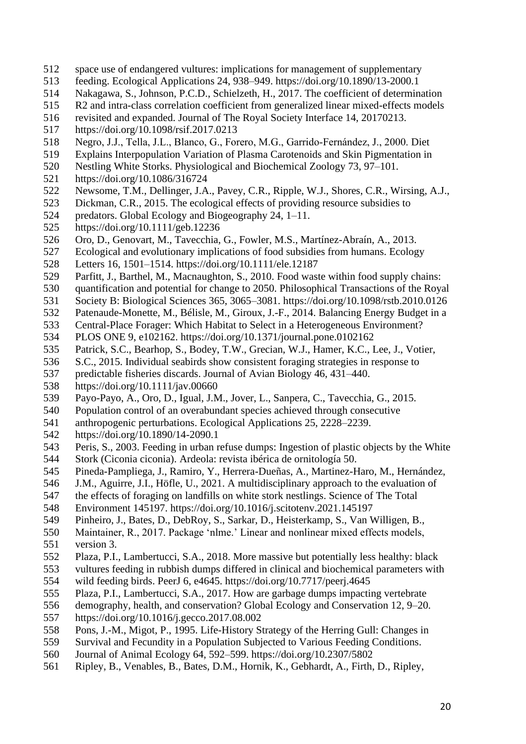- space use of endangered vultures: implications for management of supplementary
- feeding. Ecological Applications 24, 938–949. https://doi.org/10.1890/13-2000.1
- Nakagawa, S., Johnson, P.C.D., Schielzeth, H., 2017. The coefficient of determination
- R2 and intra-class correlation coefficient from generalized linear mixed-effects models
- revisited and expanded. Journal of The Royal Society Interface 14, 20170213.
- https://doi.org/10.1098/rsif.2017.0213
- Negro, J.J., Tella, J.L., Blanco, G., Forero, M.G., Garrido‐Fernández, J., 2000. Diet
- Explains Interpopulation Variation of Plasma Carotenoids and Skin Pigmentation in
- Nestling White Storks. Physiological and Biochemical Zoology 73, 97–101.
- 521 https://doi.org/10.1086/316724<br>522 Newsome, T.M., Dellinger, J.A
- Newsome, T.M., Dellinger, J.A., Pavey, C.R., Ripple, W.J., Shores, C.R., Wirsing, A.J.,
- Dickman, C.R., 2015. The ecological effects of providing resource subsidies to
- 524 predators. Global Ecology and Biogeography 24, 1–11.<br>525 https://doi.org/10.1111/geb.12236
- https://doi.org/10.1111/geb.12236
- Oro, D., Genovart, M., Tavecchia, G., Fowler, M.S., Martínez-Abraín, A., 2013.
- Ecological and evolutionary implications of food subsidies from humans. Ecology
- Letters 16, 1501–1514. https://doi.org/10.1111/ele.12187
- Parfitt, J., Barthel, M., Macnaughton, S., 2010. Food waste within food supply chains:
- quantification and potential for change to 2050. Philosophical Transactions of the Royal
- Society B: Biological Sciences 365, 3065–3081. https://doi.org/10.1098/rstb.2010.0126
- Patenaude-Monette, M., Bélisle, M., Giroux, J.-F., 2014. Balancing Energy Budget in a
- Central-Place Forager: Which Habitat to Select in a Heterogeneous Environment?
- PLOS ONE 9, e102162. https://doi.org/10.1371/journal.pone.0102162
- Patrick, S.C., Bearhop, S., Bodey, T.W., Grecian, W.J., Hamer, K.C., Lee, J., Votier,
- S.C., 2015. Individual seabirds show consistent foraging strategies in response to
- predictable fisheries discards. Journal of Avian Biology 46, 431–440.
- https://doi.org/10.1111/jav.00660
- Payo-Payo, A., Oro, D., Igual, J.M., Jover, L., Sanpera, C., Tavecchia, G., 2015.
- Population control of an overabundant species achieved through consecutive
- anthropogenic perturbations. Ecological Applications 25, 2228–2239.
- https://doi.org/10.1890/14-2090.1
- Peris, S., 2003. Feeding in urban refuse dumps: Ingestion of plastic objects by the White
- Stork (Ciconia ciconia). Ardeola: revista ibérica de ornitología 50.
- Pineda-Pampliega, J., Ramiro, Y., Herrera-Dueñas, A., Martinez-Haro, M., Hernández,
- J.M., Aguirre, J.I., Höfle, U., 2021. A multidisciplinary approach to the evaluation of
- the effects of foraging on landfills on white stork nestlings. Science of The Total
- Environment 145197. https://doi.org/10.1016/j.scitotenv.2021.145197
- Pinheiro, J., Bates, D., DebRoy, S., Sarkar, D., Heisterkamp, S., Van Willigen, B.,
- Maintainer, R., 2017. Package 'nlme.' Linear and nonlinear mixed effects models,
- version 3.
- Plaza, P.I., Lambertucci, S.A., 2018. More massive but potentially less healthy: black
- vultures feeding in rubbish dumps differed in clinical and biochemical parameters with
- wild feeding birds. PeerJ 6, e4645. https://doi.org/10.7717/peerj.4645
- Plaza, P.I., Lambertucci, S.A., 2017. How are garbage dumps impacting vertebrate
- demography, health, and conservation? Global Ecology and Conservation 12, 9–20.
- https://doi.org/10.1016/j.gecco.2017.08.002
- Pons, J.-M., Migot, P., 1995. Life-History Strategy of the Herring Gull: Changes in
- Survival and Fecundity in a Population Subjected to Various Feeding Conditions.
- Journal of Animal Ecology 64, 592–599. https://doi.org/10.2307/5802
- Ripley, B., Venables, B., Bates, D.M., Hornik, K., Gebhardt, A., Firth, D., Ripley,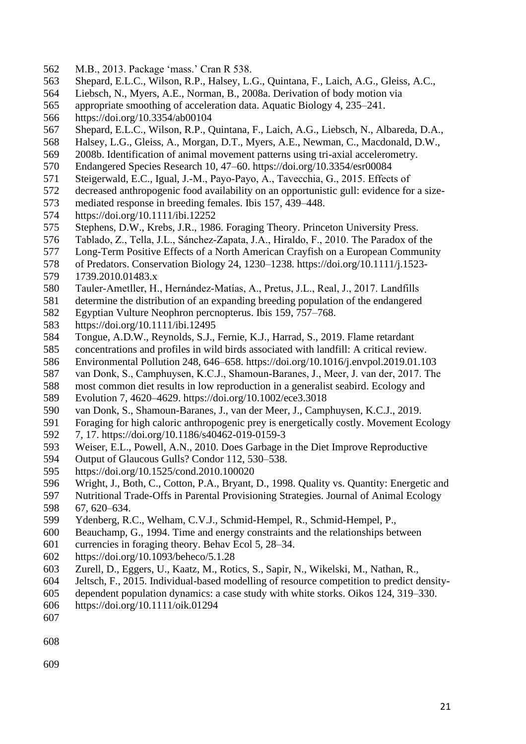- M.B., 2013. Package 'mass.' Cran R 538.
- Shepard, E.L.C., Wilson, R.P., Halsey, L.G., Quintana, F., Laich, A.G., Gleiss, A.C.,
- Liebsch, N., Myers, A.E., Norman, B., 2008a. Derivation of body motion via
- appropriate smoothing of acceleration data. Aquatic Biology 4, 235–241.
- https://doi.org/10.3354/ab00104
- Shepard, E.L.C., Wilson, R.P., Quintana, F., Laich, A.G., Liebsch, N., Albareda, D.A.,
- Halsey, L.G., Gleiss, A., Morgan, D.T., Myers, A.E., Newman, C., Macdonald, D.W.,
- 2008b. Identification of animal movement patterns using tri-axial accelerometry.
- Endangered Species Research 10, 47–60. https://doi.org/10.3354/esr00084
- 571 Steigerwald, E.C., Igual, J.-M., Payo-Payo, A., Tavecchia, G., 2015. Effects of decreased anthropogenic food availability on an opportunistic gull: evidence for
- decreased anthropogenic food availability on an opportunistic gull: evidence for a size-
- mediated response in breeding females. Ibis 157, 439–448.
- 574 https://doi.org/10.1111/ibi.12252<br>575 Stephens, D.W., Krebs, J.R., 1986
- Stephens, D.W., Krebs, J.R., 1986. Foraging Theory. Princeton University Press.
- Tablado, Z., Tella, J.L., Sánchez‐Zapata, J.A., Hiraldo, F., 2010. The Paradox of the
- Long-Term Positive Effects of a North American Crayfish on a European Community
- of Predators. Conservation Biology 24, 1230–1238. https://doi.org/10.1111/j.1523- 1739.2010.01483.x
- Tauler‐Ametller, H., Hernández‐Matías, A., Pretus, J.L., Real, J., 2017. Landfills
- determine the distribution of an expanding breeding population of the endangered
- Egyptian Vulture Neophron percnopterus. Ibis 159, 757–768.
- https://doi.org/10.1111/ibi.12495
- Tongue, A.D.W., Reynolds, S.J., Fernie, K.J., Harrad, S., 2019. Flame retardant
- concentrations and profiles in wild birds associated with landfill: A critical review.
- Environmental Pollution 248, 646–658. https://doi.org/10.1016/j.envpol.2019.01.103
- van Donk, S., Camphuysen, K.C.J., Shamoun‐Baranes, J., Meer, J. van der, 2017. The
- most common diet results in low reproduction in a generalist seabird. Ecology and
- Evolution 7, 4620–4629. https://doi.org/10.1002/ece3.3018
- van Donk, S., Shamoun-Baranes, J., van der Meer, J., Camphuysen, K.C.J., 2019.
- Foraging for high caloric anthropogenic prey is energetically costly. Movement Ecology
- 7, 17. https://doi.org/10.1186/s40462-019-0159-3
- Weiser, E.L., Powell, A.N., 2010. Does Garbage in the Diet Improve Reproductive
- Output of Glaucous Gulls? Condor 112, 530–538.
- https://doi.org/10.1525/cond.2010.100020
- Wright, J., Both, C., Cotton, P.A., Bryant, D., 1998. Quality vs. Quantity: Energetic and
- Nutritional Trade-Offs in Parental Provisioning Strategies. Journal of Animal Ecology 67, 620–634.
- Ydenberg, R.C., Welham, C.V.J., Schmid-Hempel, R., Schmid-Hempel, P.,
- Beauchamp, G., 1994. Time and energy constraints and the relationships between
- currencies in foraging theory. Behav Ecol 5, 28–34.
- https://doi.org/10.1093/beheco/5.1.28
- Zurell, D., Eggers, U., Kaatz, M., Rotics, S., Sapir, N., Wikelski, M., Nathan, R.,
- Jeltsch, F., 2015. Individual-based modelling of resource competition to predict density-
- dependent population dynamics: a case study with white storks. Oikos 124, 319–330.
- https://doi.org/10.1111/oik.01294
-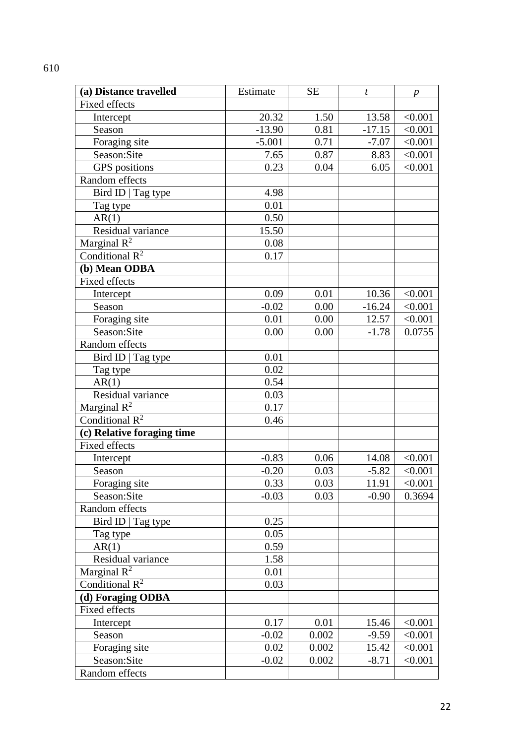| (a) Distance travelled     | Estimate | <b>SE</b> | $\boldsymbol{t}$ | р       |
|----------------------------|----------|-----------|------------------|---------|
| <b>Fixed effects</b>       |          |           |                  |         |
| Intercept                  | 20.32    | 1.50      | 13.58            | < 0.001 |
| Season                     | $-13.90$ | 0.81      | $-17.15$         | < 0.001 |
| Foraging site              | $-5.001$ | 0.71      | $-7.07$          | < 0.001 |
| Season:Site                | 7.65     | 0.87      | 8.83             | < 0.001 |
| GPS positions              | 0.23     | 0.04      | 6.05             | < 0.001 |
| Random effects             |          |           |                  |         |
| Bird ID   Tag type         | 4.98     |           |                  |         |
| Tag type                   | 0.01     |           |                  |         |
| AR(1)                      | 0.50     |           |                  |         |
| Residual variance          | 15.50    |           |                  |         |
| Marginal $R^2$             | 0.08     |           |                  |         |
| Conditional $R^2$          | 0.17     |           |                  |         |
| (b) Mean ODBA              |          |           |                  |         |
| <b>Fixed effects</b>       |          |           |                  |         |
| Intercept                  | 0.09     | 0.01      | 10.36            | < 0.001 |
| Season                     | $-0.02$  | 0.00      | $-16.24$         | < 0.001 |
| Foraging site              | 0.01     | 0.00      | 12.57            | < 0.001 |
| Season:Site                | 0.00     | 0.00      | $-1.78$          | 0.0755  |
| Random effects             |          |           |                  |         |
| Bird ID   Tag type         | 0.01     |           |                  |         |
| Tag type                   | 0.02     |           |                  |         |
| AR(1)                      | 0.54     |           |                  |         |
| Residual variance          | 0.03     |           |                  |         |
| Marginal $R^2$             | 0.17     |           |                  |         |
| Conditional $R^2$          | 0.46     |           |                  |         |
| (c) Relative foraging time |          |           |                  |         |
| <b>Fixed effects</b>       |          |           |                  |         |
| Intercept                  | $-0.83$  | 0.06      | 14.08            | < 0.001 |
| Season                     | $-0.20$  | 0.03      | $-5.82$          | < 0.001 |
| Foraging site              | 0.33     | 0.03      | 11.91            | < 0.001 |
| Season:Site                | $-0.03$  | 0.03      | $-0.90$          | 0.3694  |
| Random effects             |          |           |                  |         |
| Bird ID   Tag type         | 0.25     |           |                  |         |
| Tag type                   | 0.05     |           |                  |         |
| AR(1)                      | 0.59     |           |                  |         |
| Residual variance          | 1.58     |           |                  |         |
| Marginal $R^2$             | 0.01     |           |                  |         |
| Conditional $R^2$          | 0.03     |           |                  |         |
| (d) Foraging ODBA          |          |           |                  |         |
| Fixed effects              |          |           |                  |         |
| Intercept                  | 0.17     | 0.01      | 15.46            | < 0.001 |
| Season                     | $-0.02$  | 0.002     | $-9.59$          | < 0.001 |
| Foraging site              | 0.02     | 0.002     | 15.42            | < 0.001 |
| Season:Site                | $-0.02$  | 0.002     | $-8.71$          | < 0.001 |
| Random effects             |          |           |                  |         |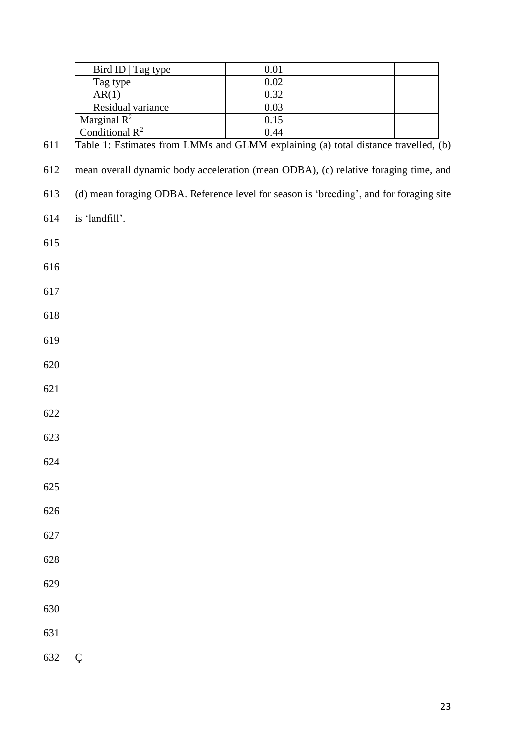|     | Bird ID   Tag type                                                                  | 0.01 |  |  |
|-----|-------------------------------------------------------------------------------------|------|--|--|
|     | Tag type                                                                            | 0.02 |  |  |
|     | AR(1)                                                                               | 0.32 |  |  |
|     | Residual variance                                                                   | 0.03 |  |  |
|     | Marginal $\mathbb{R}^2$                                                             | 0.15 |  |  |
|     | Conditional $R^2$                                                                   | 0.44 |  |  |
| 611 | Table 1: Estimates from LMMs and GLMM explaining (a) total distance travelled, (b)  |      |  |  |
|     |                                                                                     |      |  |  |
| 612 | mean overall dynamic body acceleration (mean ODBA), (c) relative foraging time, and |      |  |  |
|     |                                                                                     |      |  |  |

- (d) mean foraging ODBA. Reference level for season is 'breeding', and for foraging site
- is 'landfill'.
- 
- 
- 
- 
- 
- 
- 
- 
- 
- 
- 
- 
- 
- 
- 
- 
- 
- Ç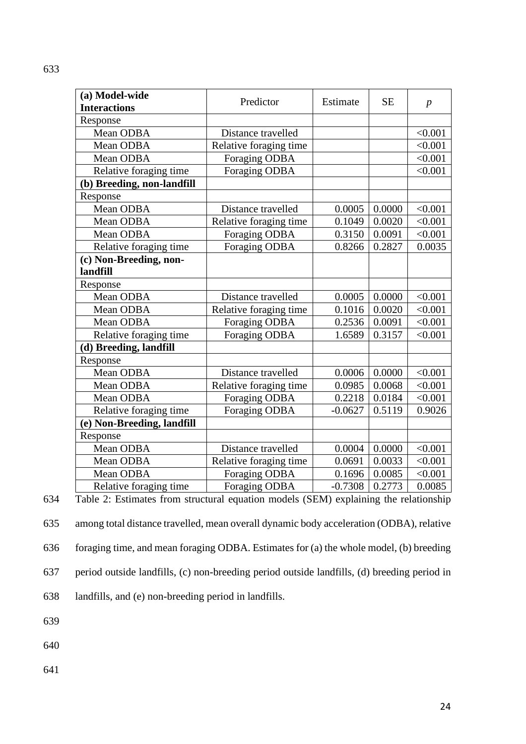| (a) Model-wide<br><b>Interactions</b>                                                                          | Predictor              | Estimate  | <b>SE</b> | $\boldsymbol{p}$ |
|----------------------------------------------------------------------------------------------------------------|------------------------|-----------|-----------|------------------|
| Response                                                                                                       |                        |           |           |                  |
| Mean ODBA                                                                                                      | Distance travelled     |           |           | < 0.001          |
| Mean ODBA                                                                                                      | Relative foraging time |           |           | < 0.001          |
| Mean ODBA                                                                                                      | Foraging ODBA          |           |           | < 0.001          |
| Relative foraging time                                                                                         | Foraging ODBA          |           |           | < 0.001          |
| (b) Breeding, non-landfill                                                                                     |                        |           |           |                  |
| Response                                                                                                       |                        |           |           |                  |
| Mean ODBA                                                                                                      | Distance travelled     | 0.0005    | 0.0000    | < 0.001          |
| Mean ODBA                                                                                                      | Relative foraging time | 0.1049    | 0.0020    | < 0.001          |
| Mean ODBA                                                                                                      | Foraging ODBA          | 0.3150    | 0.0091    | < 0.001          |
| Relative foraging time                                                                                         | Foraging ODBA          | 0.8266    | 0.2827    | 0.0035           |
| (c) Non-Breeding, non-                                                                                         |                        |           |           |                  |
| landfill                                                                                                       |                        |           |           |                  |
| Response                                                                                                       |                        |           |           |                  |
| Mean ODBA                                                                                                      | Distance travelled     | 0.0005    | 0.0000    | < 0.001          |
| Mean ODBA                                                                                                      | Relative foraging time | 0.1016    | 0.0020    | < 0.001          |
| Mean ODBA                                                                                                      | Foraging ODBA          | 0.2536    | 0.0091    | < 0.001          |
| Relative foraging time                                                                                         | <b>Foraging ODBA</b>   | 1.6589    | 0.3157    | < 0.001          |
| (d) Breeding, landfill                                                                                         |                        |           |           |                  |
| Response                                                                                                       |                        |           |           |                  |
| Mean ODBA                                                                                                      | Distance travelled     | 0.0006    | 0.0000    | < 0.001          |
| Mean ODBA                                                                                                      | Relative foraging time | 0.0985    | 0.0068    | < 0.001          |
| Mean ODBA                                                                                                      | <b>Foraging ODBA</b>   | 0.2218    | 0.0184    | < 0.001          |
| Relative foraging time                                                                                         | Foraging ODBA          | $-0.0627$ | 0.5119    | 0.9026           |
| (e) Non-Breeding, landfill                                                                                     |                        |           |           |                  |
| Response                                                                                                       |                        |           |           |                  |
| Mean ODBA                                                                                                      | Distance travelled     | 0.0004    | 0.0000    | < 0.001          |
| Mean ODBA                                                                                                      | Relative foraging time | 0.0691    | 0.0033    | < 0.001          |
| Mean ODBA                                                                                                      | Foraging ODBA          | 0.1696    | 0.0085    | < 0.001          |
| Relative foraging time<br>Toble 2. Estimates from structural equation models (CEM) evalgining the relationship | Foraging ODBA          | $-0.7308$ | 0.2773    | 0.0085           |

634 Table 2: Estimates from structural equation models (SEM) explaining the relationship

635 among total distance travelled, mean overall dynamic body acceleration (ODBA), relative 636 foraging time, and mean foraging ODBA. Estimates for (a) the whole model, (b) breeding

637 period outside landfills, (c) non-breeding period outside landfills, (d) breeding period in

638 landfills, and (e) non-breeding period in landfills.

639

640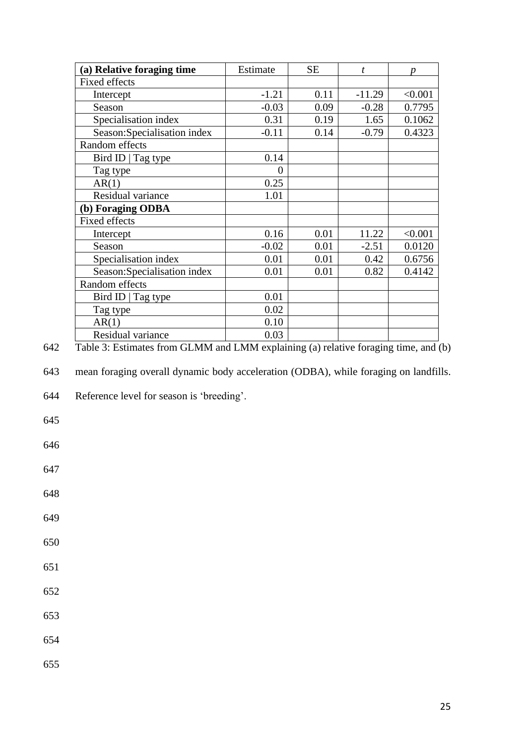| (a) Relative foraging time   | Estimate | <b>SE</b> | t        |         |
|------------------------------|----------|-----------|----------|---------|
| <b>Fixed effects</b>         |          |           |          |         |
| Intercept                    | $-1.21$  | 0.11      | $-11.29$ | < 0.001 |
| Season                       | $-0.03$  | 0.09      | $-0.28$  | 0.7795  |
| Specialisation index         | 0.31     | 0.19      | 1.65     | 0.1062  |
| Season: Specialisation index | $-0.11$  | 0.14      | $-0.79$  | 0.4323  |
| Random effects               |          |           |          |         |
| Bird ID   Tag type           | 0.14     |           |          |         |
| Tag type                     | 0        |           |          |         |
| AR(1)                        | 0.25     |           |          |         |
| Residual variance            | 1.01     |           |          |         |
| (b) Foraging ODBA            |          |           |          |         |
| <b>Fixed effects</b>         |          |           |          |         |
| Intercept                    | 0.16     | 0.01      | 11.22    | < 0.001 |
| Season                       | $-0.02$  | 0.01      | $-2.51$  | 0.0120  |
| Specialisation index         | 0.01     | 0.01      | 0.42     | 0.6756  |
| Season: Specialisation index | 0.01     | 0.01      | 0.82     | 0.4142  |
| Random effects               |          |           |          |         |
| Bird ID   Tag type           | 0.01     |           |          |         |
| Tag type                     | 0.02     |           |          |         |
| AR(1)                        | 0.10     |           |          |         |
| Residual variance            | 0.03     |           |          |         |

642 Table 3: Estimates from GLMM and LMM explaining (a) relative foraging time, and (b)

643 mean foraging overall dynamic body acceleration (ODBA), while foraging on landfills.

644 Reference level for season is 'breeding'.

645

646

647

- 649
- 650
- 651
- 652
- 653
- 
- 654
- 655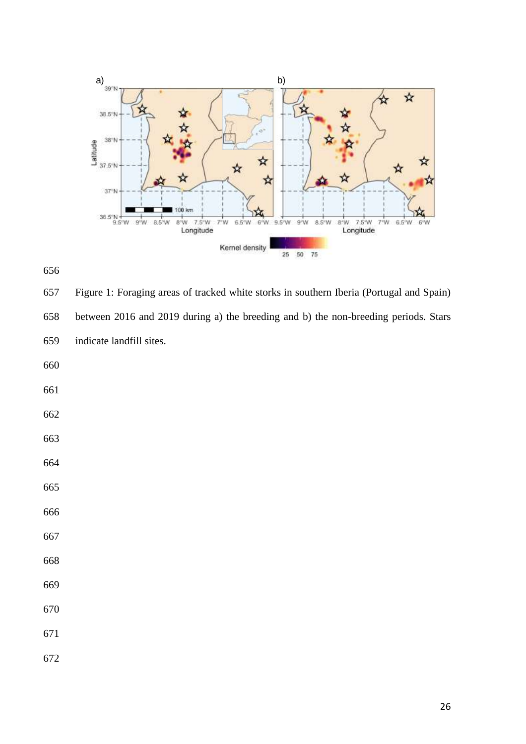



 Figure 1: Foraging areas of tracked white storks in southern Iberia (Portugal and Spain) between 2016 and 2019 during a) the breeding and b) the non-breeding periods. Stars indicate landfill sites.

- 
- 
- 
- 
- 
- 
- 
- 
- 
- 
- 
- 
- 
-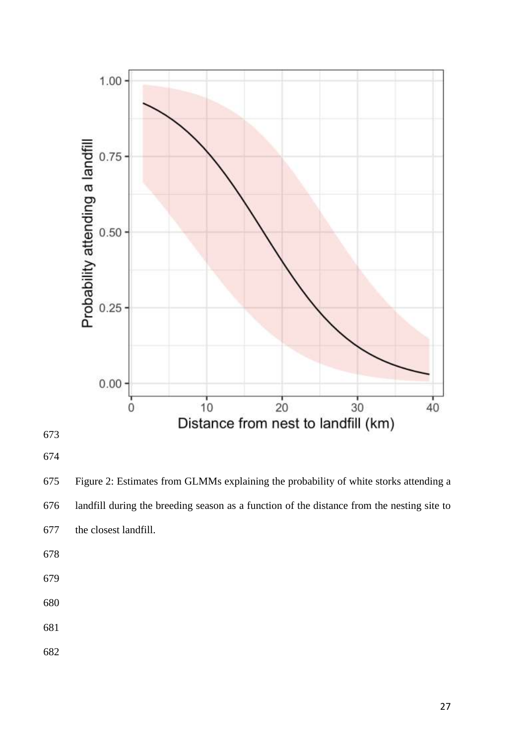

 Figure 2: Estimates from GLMMs explaining the probability of white storks attending a landfill during the breeding season as a function of the distance from the nesting site to the closest landfill.

- 
- 
- 
-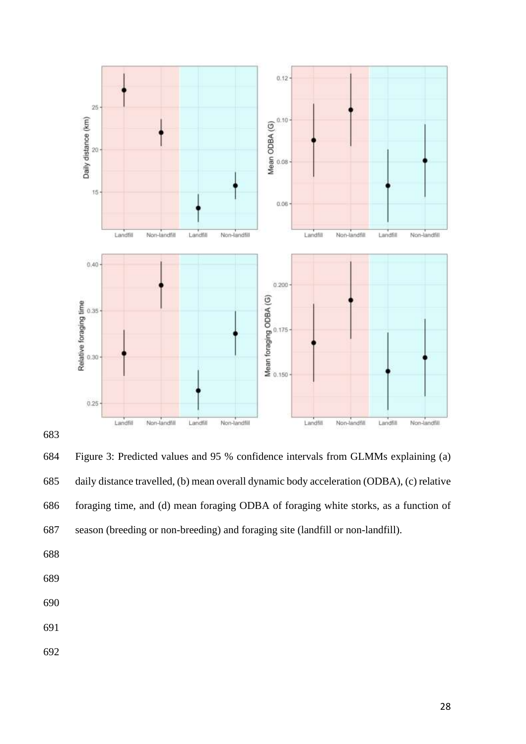

 Figure 3: Predicted values and 95 % confidence intervals from GLMMs explaining (a) daily distance travelled, (b) mean overall dynamic body acceleration (ODBA), (c) relative foraging time, and (d) mean foraging ODBA of foraging white storks, as a function of season (breeding or non-breeding) and foraging site (landfill or non-landfill).

- 
- 
- 
- 
-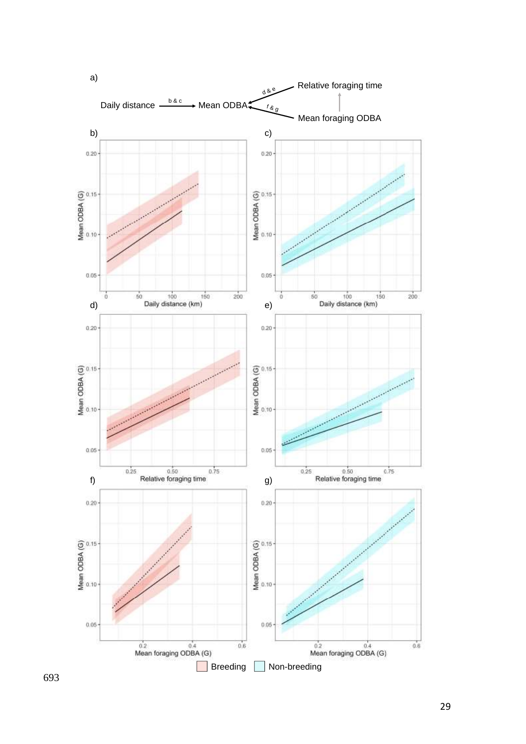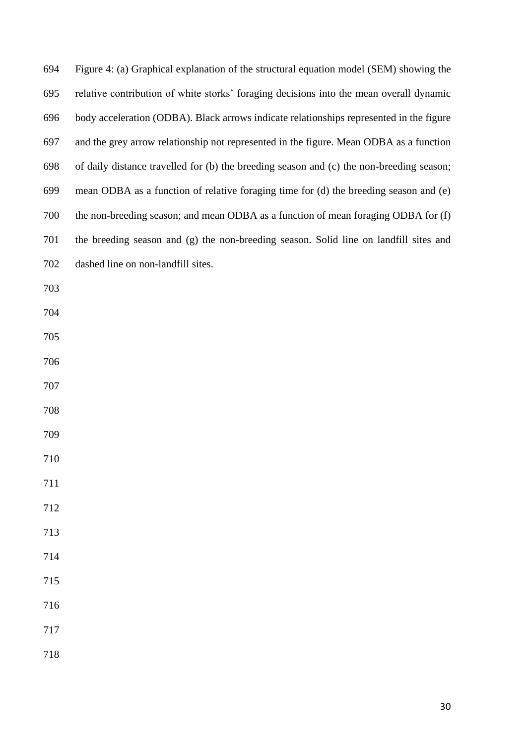| 694 | Figure 4: (a) Graphical explanation of the structural equation model (SEM) showing the   |
|-----|------------------------------------------------------------------------------------------|
| 695 | relative contribution of white storks' foraging decisions into the mean overall dynamic  |
| 696 | body acceleration (ODBA). Black arrows indicate relationships represented in the figure  |
| 697 | and the grey arrow relationship not represented in the figure. Mean ODBA as a function   |
| 698 | of daily distance travelled for (b) the breeding season and (c) the non-breeding season; |
| 699 | mean ODBA as a function of relative foraging time for (d) the breeding season and (e)    |
| 700 | the non-breeding season; and mean ODBA as a function of mean foraging ODBA for (f)       |
| 701 | the breeding season and (g) the non-breeding season. Solid line on landfill sites and    |
| 702 | dashed line on non-landfill sites.                                                       |
| 703 |                                                                                          |
| 704 |                                                                                          |
| 705 |                                                                                          |
| 706 |                                                                                          |
| 707 |                                                                                          |
| 708 |                                                                                          |
| 709 |                                                                                          |
| 710 |                                                                                          |
| 711 |                                                                                          |
| 712 |                                                                                          |
| 713 |                                                                                          |
| 714 |                                                                                          |
| 715 |                                                                                          |
| 716 |                                                                                          |
| 717 |                                                                                          |
| 718 |                                                                                          |